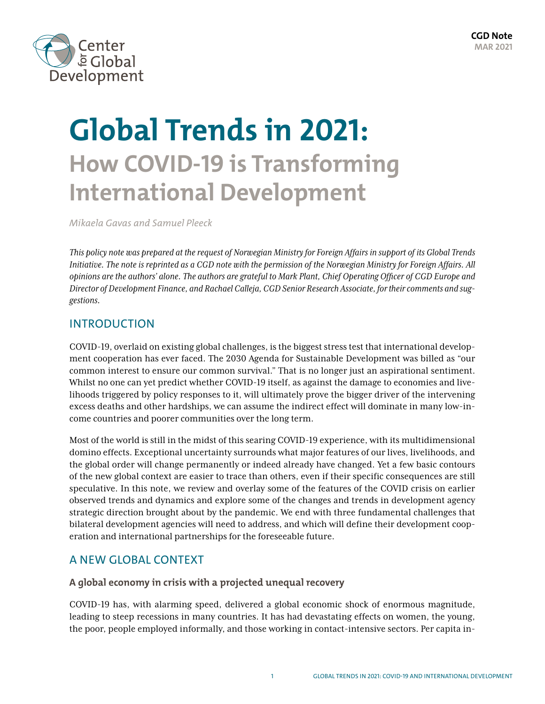

# **Global Trends in 2021: How COVID-19 is Transforming International Development**

*Mikaela Gavas and Samuel Pleeck*

*This policy note was prepared at the request of Norwegian Ministry for Foreign Affairs in support of its Global Trends Initiative. The note is reprinted as a CGD note with the permission of the Norwegian Ministry for Foreign Affairs. All opinions are the authors' alone. The authors are grateful to Mark Plant, Chief Operating Officer of CGD Europe and Director of Development Finance, and Rachael Calleja, CGD Senior Research Associate, for their comments and suggestions.*

# INTRODUCTION

COVID-19, overlaid on existing global challenges, is the biggest stress test that international development cooperation has ever faced. The 2030 Agenda for Sustainable Development was billed as "our common interest to ensure our common survival." That is no longer just an aspirational sentiment. Whilst no one can yet predict whether COVID-19 itself, as against the damage to economies and livelihoods triggered by policy responses to it, will ultimately prove the bigger driver of the intervening excess deaths and other hardships, we can assume the indirect effect will dominate in many low-income countries and poorer communities over the long term.

Most of the world is still in the midst of this searing COVID-19 experience, with its multidimensional domino effects. Exceptional uncertainty surrounds what major features of our lives, livelihoods, and the global order will change permanently or indeed already have changed. Yet a few basic contours of the new global context are easier to trace than others, even if their specific consequences are still speculative. In this note, we review and overlay some of the features of the COVID crisis on earlier observed trends and dynamics and explore some of the changes and trends in development agency strategic direction brought about by the pandemic. We end with three fundamental challenges that bilateral development agencies will need to address, and which will define their development cooperation and international partnerships for the foreseeable future.

# A NEW GLOBAL CONTEXT

# **A global economy in crisis with a projected unequal recovery**

COVID-19 has, with alarming speed, delivered a global economic shock of enormous magnitude, leading to steep recessions in many countries. It has had devastating effects on women, the young, the poor, people employed informally, and those working in contact-intensive sectors. Per capita in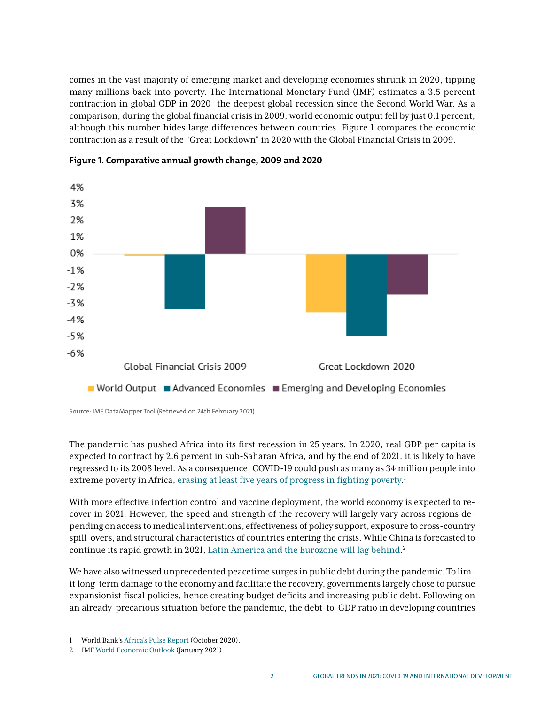comes in the vast majority of emerging market and developing economies shrunk in 2020, tipping many millions back into poverty. The International Monetary Fund (IMF) estimates a 3.5 percent contraction in global GDP in 2020—the deepest global recession since the Second World War. As a comparison, during the global financial crisis in 2009, world economic output fell by just 0.1 percent, although this number hides large differences between countries. Figure 1 compares the economic contraction as a result of the "Great Lockdown" in 2020 with the Global Financial Crisis in 2009.



**Figure 1. Comparative annual growth change, 2009 and 2020** 

Source: IMF DataMapper Tool (Retrieved on 24th February 2021)

The pandemic has pushed Africa into its first recession in 25 years. In 2020, real GDP per capita is expected to contract by 2.6 percent in sub-Saharan Africa, and by the end of 2021, it is likely to have regressed to its 2008 level. As a consequence, COVID-19 could push as many as 34 million people into extreme poverty in Africa, [erasing at least five years of progress in fighting poverty.](https://www.worldbank.org/en/publication/africa-pulse)<sup>1</sup>

With more effective infection control and vaccine deployment, the world economy is expected to recover in 2021. However, the speed and strength of the recovery will largely vary across regions depending on access to medical interventions, effectiveness of policy support, exposure to cross-country spill-overs, and structural characteristics of countries entering the crisis. While China is forecasted to continue its rapid growth in 2021, [Latin America and the Eurozone will lag behind.](https://www.imf.org/en/Publications/WEO) 2

We have also witnessed unprecedented peacetime surges in public debt during the pandemic. To limit long-term damage to the economy and facilitate the recovery, governments largely chose to pursue expansionist fiscal policies, hence creating budget deficits and increasing public debt. Following on an already-precarious situation before the pandemic, the debt-to-GDP ratio in developing countries

<sup>1</sup> World Bank's [Africa's Pulse Report](https://www.worldbank.org/en/publication/africa-pulse) (October 2020).

<sup>2</sup> IMF [World Economic Outlook](https://www.imf.org/en/Publications/WEO) (January 2021)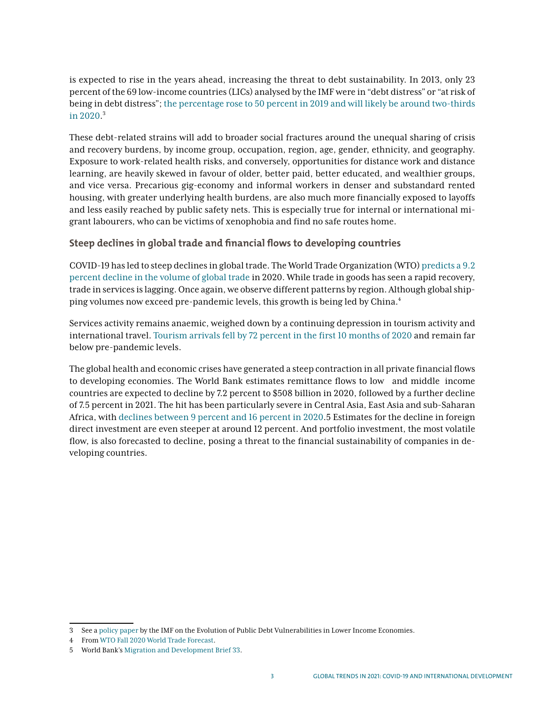is expected to rise in the years ahead, increasing the threat to debt sustainability. In 2013, only 23 percent of the 69 low-income countries (LICs) analysed by the IMF were in "debt distress" or "at risk of being in debt distress"; [the percentage rose to 50 percent in 2019 and will likely be around two-thirds](https://www.imf.org/en/Publications/Policy-Papers/Issues/2020/02/05/The-Evolution-of-Public-Debt-Vulnerabilities-In-Lower-Income-Economies-49018) [in 2020](https://www.imf.org/en/Publications/Policy-Papers/Issues/2020/02/05/The-Evolution-of-Public-Debt-Vulnerabilities-In-Lower-Income-Economies-49018). 3

These debt-related strains will add to broader social fractures around the unequal sharing of crisis and recovery burdens, by income group, occupation, region, age, gender, ethnicity, and geography. Exposure to work-related health risks, and conversely, opportunities for distance work and distance learning, are heavily skewed in favour of older, better paid, better educated, and wealthier groups, and vice versa. Precarious gig-economy and informal workers in denser and substandard rented housing, with greater underlying health burdens, are also much more financially exposed to layoffs and less easily reached by public safety nets. This is especially true for internal or international migrant labourers, who can be victims of xenophobia and find no safe routes home.

## **Steep declines in global trade and financial flows to developing countries**

COVID-19 has led to steep declines in global trade. The World Trade Organization (WTO) [predicts a 9.2](https://www.wto.org/english/news_e/pres20_e/pr862_e.htm) [percent decline in the volume of global trade](https://www.wto.org/english/news_e/pres20_e/pr862_e.htm) in 2020. While trade in goods has seen a rapid recovery, trade in services is lagging. Once again, we observe different patterns by region. Although global shipping volumes now exceed pre-pandemic levels, this growth is being led by China.<sup>4</sup>

Services activity remains anaemic, weighed down by a continuing depression in tourism activity and international travel. [Tourism arrivals fell by 72 percent in the first 10 months of 2020](https://www.e-unwto.org/doi/epdf/10.18111/wtobarometereng.2020.18.1.7) and remain far below pre-pandemic levels.

The global health and economic crises have generated a steep contraction in all private financial flows to developing economies. The World Bank estimates remittance flows to low and middle income countries are expected to decline by 7.2 percent to \$508 billion in 2020, followed by a further decline of 7.5 percent in 2021. The hit has been particularly severe in Central Asia, East Asia and sub-Saharan Africa, with [declines between 9 percent and 16 percent in 2020](https://www.worldbank.org/en/topic/socialprotectionandjobs/publication/migration-and-development-brief-33).5 Estimates for the decline in foreign direct investment are even steeper at around 12 percent. And portfolio investment, the most volatile flow, is also forecasted to decline, posing a threat to the financial sustainability of companies in developing countries.

<sup>3</sup> See a [policy paper](https://www.imf.org/en/Publications/Policy-Papers/Issues/2020/02/05/The-Evolution-of-Public-Debt-Vulnerabilities-In-Lower-Income-Economies-49018) by the IMF on the Evolution of Public Debt Vulnerabilities in Lower Income Economies.

<sup>4</sup> From [WTO Fall 2020 World Trade Forecast.](https://www.wto.org/english/news_e/pres20_e/pr862_e.htm)

<sup>5</sup> World Bank's [Migration and Development Brief 33.](https://www.worldbank.org/en/topic/socialprotectionandjobs/publication/migration-and-development-brief-33)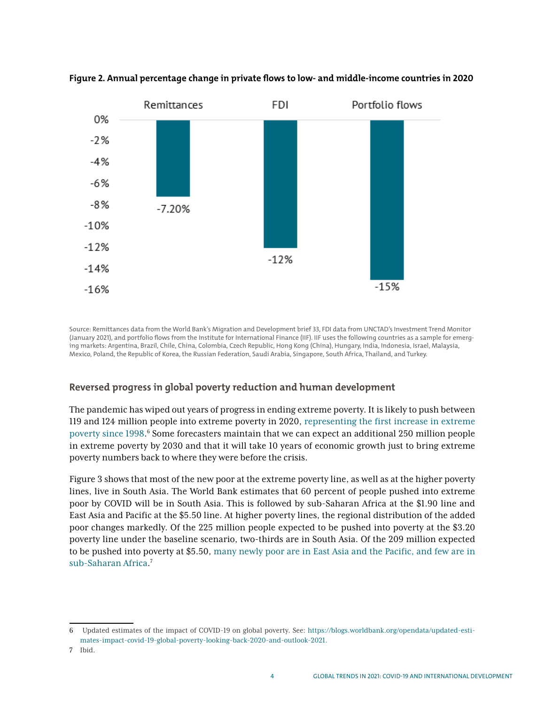

## **Figure 2. Annual percentage change in private flows to low- and middle-income countries in 2020**

Source: Remittances data from the World Bank's Migration and Development brief 33, FDI data from UNCTAD's Investment Trend Monitor (January 2021), and portfolio flows from the Institute for International Finance (IIF). IIF uses the following countries as a sample for emerging markets: Argentina, Brazil, Chile, China, Colombia, Czech Republic, Hong Kong (China), Hungary, India, Indonesia, Israel, Malaysia, Mexico, Poland, the Republic of Korea, the Russian Federation, Saudi Arabia, Singapore, South Africa, Thailand, and Turkey.

# **Reversed progress in global poverty reduction and human development**

The pandemic has wiped out years of progress in ending extreme poverty. It is likely to push between 119 and 124 million people into extreme poverty in 2020, [representing the first increase in extreme](https://blogs.worldbank.org/opendata/updated-estimates-impact-covid-19-global-poverty-looking-back-2020-and-outlook-2021) [poverty since 1998](https://blogs.worldbank.org/opendata/updated-estimates-impact-covid-19-global-poverty-looking-back-2020-and-outlook-2021).<sup>6</sup> Some forecasters maintain that we can expect an additional 250 million people in extreme poverty by 2030 and that it will take 10 years of economic growth just to bring extreme poverty numbers back to where they were before the crisis.

Figure 3 shows that most of the new poor at the extreme poverty line, as well as at the higher poverty lines, live in South Asia. The World Bank estimates that 60 percent of people pushed into extreme poor by COVID will be in South Asia. This is followed by sub-Saharan Africa at the \$1.90 line and East Asia and Pacific at the \$5.50 line. At higher poverty lines, the regional distribution of the added poor changes markedly. Of the 225 million people expected to be pushed into poverty at the \$3.20 poverty line under the baseline scenario, two-thirds are in South Asia. Of the 209 million expected to be pushed into poverty at \$5.50, [many newly poor are in East Asia and the Pacific, and few are in](https://blogs.worldbank.org/opendata/updated-estimates-impact-covid-19-global-poverty-looking-back-2020-and-outlook-2021) [sub-Saharan Africa.](https://blogs.worldbank.org/opendata/updated-estimates-impact-covid-19-global-poverty-looking-back-2020-and-outlook-2021) 7

<sup>6</sup> Updated estimates of the impact of COVID-19 on global poverty. See: [https://blogs.worldbank.org/opendata/updated-esti](https://blogs.worldbank.org/opendata/updated-estimates-impact-covid-19-global-poverty-looking-back-2020-and-outlook-2021)[mates-impact-covid-19-global-poverty-looking-back-2020-and-outlook-2021.](https://blogs.worldbank.org/opendata/updated-estimates-impact-covid-19-global-poverty-looking-back-2020-and-outlook-2021)

<sup>7</sup> Ibid.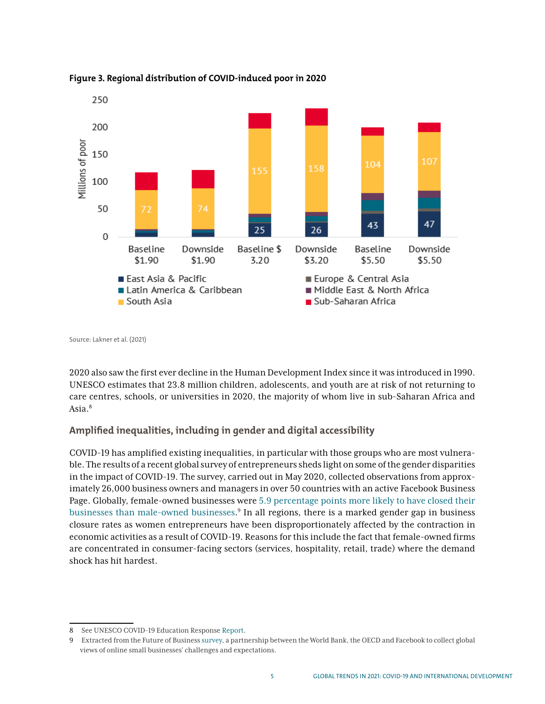

#### **Figure 3. Regional distribution of COVID-induced poor in 2020**

Source: Lakner et al. (2021)

2020 also saw the first ever decline in the Human Development Index since it was introduced in 1990. UNESCO estimates that 23.8 million children, adolescents, and youth are at risk of not returning to care centres, schools, or universities in 2020, the majority of whom live in sub-Saharan Africa and Asia.<sup>8</sup>

# **Amplified inequalities, including in gender and digital accessibility**

COVID-19 has amplified existing inequalities, in particular with those groups who are most vulnerable. The results of a recent global survey of entrepreneurs sheds light on some of the gender disparities in the impact of COVID-19. The survey, carried out in May 2020, collected observations from approximately 26,000 business owners and managers in over 50 countries with an active Facebook Business Page. Globally, female-owned businesses were [5.9 percentage points more likely to have closed their](https://blogs.worldbank.org/developmenttalk/global-state-small-business-during-covid-19-gender-inequalities)  [businesses than male-owned businesses](https://blogs.worldbank.org/developmenttalk/global-state-small-business-during-covid-19-gender-inequalities). 9 In all regions, there is a marked gender gap in business closure rates as women entrepreneurs have been disproportionately affected by the contraction in economic activities as a result of COVID-19. Reasons for this include the fact that female-owned firms are concentrated in consumer-facing sectors (services, hospitality, retail, trade) where the demand shock has hit hardest.

<sup>8</sup> See UNESCO COVID-19 Education Response [Report.](https://unesdoc.unesco.org/in/documentViewer.xhtml?v=2.1.196&id=p::usmarcdef_0000373992&file=/in/rest/annotationSVC/DownloadWatermarkedAttachment/attach_import_5b075951-5390-4056-9935-4163d073d5f1%3F_%3D373992eng.pdf&locale=en&multi=true&ark=/ark:/48223/pf0000373992/PDF/373992eng.pdf#%5B%7B%22num%22%3A31%2C%22gen%22%3A0%7D%2C%7B%22name%22%3A%22XYZ%22%7D%2C63%2C777%2C0%5D)

<sup>9</sup> Extracted from the Future of Business [survey,](https://blogs.worldbank.org/developmenttalk/global-state-small-business-during-covid-19-gender-inequalities) a partnership between the World Bank, the OECD and Facebook to collect global views of online small businesses' challenges and expectations.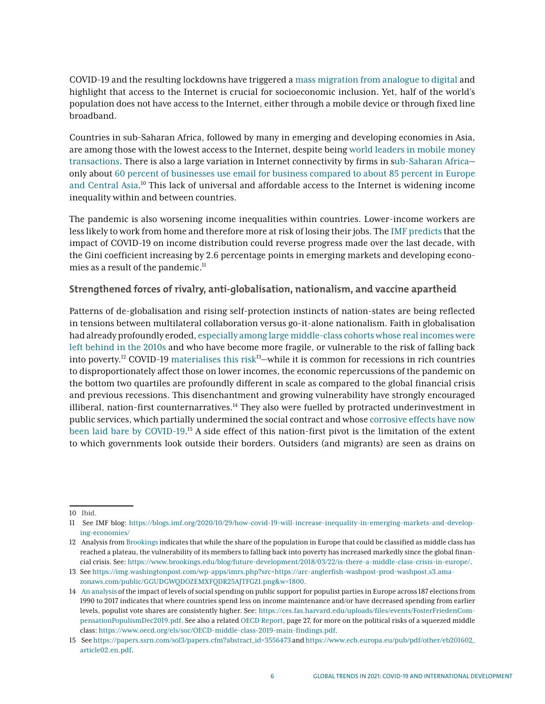COVID-19 and the resulting lockdowns have triggered a [mass migration from analogue to digital](https://blogs.imf.org/2020/06/11/the-global-economic-reset-promoting-a-more-inclusive-recovery/) and highlight that access to the Internet is crucial for socioeconomic inclusion. Yet, half of the world's population does not have access to the Internet, either through a mobile device or through fixed line broadband.

Countries in sub-Saharan Africa, followed by many in emerging and developing economies in Asia, are among those with the lowest access to the Internet, despite being [world leaders in mobile money](https://www.imf.org/en/News/Articles/2020/06/15/na061520-digitalizing-sub-saharan-africa-hopes-and-hurdles) [transactions](https://www.imf.org/en/News/Articles/2020/06/15/na061520-digitalizing-sub-saharan-africa-hopes-and-hurdles). There is also a large variation in Internet connectivity by firms in [sub-Saharan Africa](https://www.imf.org/~/media/Files/Publications/REO/AFR/2020/April/English/ch3.ashx?la=en) only about [60 percent of businesses use email for business compared to about 85 percent in Europe](https://blogs.worldbank.org/developmenttalk/global-state-small-business-during-covid-19-gender-inequalities) [and Central Asia](https://blogs.worldbank.org/developmenttalk/global-state-small-business-during-covid-19-gender-inequalities).<sup>10</sup> This lack of universal and affordable access to the Internet is widening income inequality within and between countries.

The pandemic is also worsening income inequalities within countries. Lower-income workers are less likely to work from home and therefore more at risk of losing their jobs. The [IMF predicts](https://blogs.imf.org/2020/10/29/how-covid-19-will-increase-inequality-in-emerging-markets-and-developing-economies/) that the impact of COVID-19 on income distribution could reverse progress made over the last decade, with the Gini coefficient increasing by 2.6 percentage points in emerging markets and developing economies as a result of the pandemic.<sup>11</sup>

# **Strengthened forces of rivalry, anti-globalisation, nationalism, and vaccine apartheid**

Patterns of de-globalisation and rising self-protection instincts of nation-states are being reflected in tensions between multilateral collaboration versus go-it-alone nationalism. Faith in globalisation had already profoundly eroded, [especially among large middle-class cohorts whose real incomes were](https://www.brookings.edu/blog/future-development/2018/03/22/is-there-a-middle-class-crisis-in-europe/) [left behind in the 2010s](https://www.brookings.edu/blog/future-development/2018/03/22/is-there-a-middle-class-crisis-in-europe/) and who have become more fragile, or vulnerable to the risk of falling back into poverty.<sup>12</sup> COVID-19 [materialises this risk](https://img.washingtonpost.com/wp-apps/imrs.php?src=https://arc-anglerfish-washpost-prod-washpost.s3.amazonaws.com/public/GGUDGWQDOZEMXFQDR25AJTFGZI.png&w=1800)<sup>13</sup>—while it is common for recessions in rich countries to disproportionately affect those on lower incomes, the economic repercussions of the pandemic on the bottom two quartiles are profoundly different in scale as compared to the global financial crisis and previous recessions. This disenchantment and growing vulnerability have strongly encouraged illiberal, nation-first counternarratives. $14$  They also were fuelled by protracted underinvestment in public services, which partially undermined the social contract and whose [corrosive effects have now](https://www.ecb.europa.eu/pub/pdf/other/eb201602_article02.en.pdf) [been laid bare by COVID-19.](https://www.ecb.europa.eu/pub/pdf/other/eb201602_article02.en.pdf)<sup>15</sup> A side effect of this nation-first pivot is the limitation of the extent to which governments look outside their borders. Outsiders (and migrants) are seen as drains on

<sup>10</sup> Ibid.

<sup>11</sup> See IMF blog: [https://blogs.imf.org/2020/10/29/how-covid-19-will-increase-inequality-in-emerging-markets-and-develop](https://blogs.imf.org/2020/10/29/how-covid-19-will-increase-inequality-in-emerging-markets-and-developing-economies/)[ing-economies/](https://blogs.imf.org/2020/10/29/how-covid-19-will-increase-inequality-in-emerging-markets-and-developing-economies/)

<sup>12</sup> Analysis fro[m Brookings](https://www.brookings.edu/blog/future-development/2018/03/22/is-there-a-middle-class-crisis-in-europe/) indicates that while the share of the population in Europe that could be classified as middle class has reached a plateau, the vulnerability of its members to falling back into poverty has increased markedly since the global financial crisis. See: <https://www.brookings.edu/blog/future-development/2018/03/22/is-there-a-middle-class-crisis-in-europe/>.

<sup>13</sup> See [https://img.washingtonpost.com/wp-apps/imrs.php?src=https://arc-anglerfish-washpost-prod-washpost.s3.ama](https://img.washingtonpost.com/wp-apps/imrs.php?src=https://arc-anglerfish-washpost-prod-washpost.s3.amazonaws.com/public/GGUDGWQDOZEMXFQDR25AJTFGZI.png&w=1800)[zonaws.com/public/GGUDGWQDOZEMXFQDR25AJTFGZI.png&w=1800.](https://img.washingtonpost.com/wp-apps/imrs.php?src=https://arc-anglerfish-washpost-prod-washpost.s3.amazonaws.com/public/GGUDGWQDOZEMXFQDR25AJTFGZI.png&w=1800)

<sup>14</sup> [An analysis](https://ces.fas.harvard.edu/uploads/files/events/FosterFriedenCompensationPopulismDec2019.pdf) of the impact of levels of social spending on public support for populist parties in Europe across 187 elections from 1990 to 2017 indicates that where countries spend less on income maintenance and/or have decreased spending from earlier levels, populist vote shares are consistently higher. See: [https://ces.fas.harvard.edu/uploads/files/events/FosterFriedenCom](https://ces.fas.harvard.edu/uploads/files/events/FosterFriedenCompensationPopulismDec2019.pdf)[pensationPopulismDec2019.pdf.](https://ces.fas.harvard.edu/uploads/files/events/FosterFriedenCompensationPopulismDec2019.pdf) See also a related [OECD Report,](https://www.oecd.org/els/soc/OECD-middle-class-2019-main-findings.pdf) page 27, for more on the political risks of a squeezed middle class[:](https://www.oecd.org/els/soc/OECD-middle-class-2019-main-findings.pdf) [https://www.oecd.org/els/soc/OECD-middle-class-2019-main-findings.pdf.](https://www.oecd.org/els/soc/OECD-middle-class-2019-main-findings.pdf)

<sup>15</sup> Se[e](https://papers.ssrn.com/sol3/papers.cfm?abstract_id=3556473) [https://papers.ssrn.com/sol3/papers.cfm?abstract\\_id=3556473](https://papers.ssrn.com/sol3/papers.cfm?abstract_id=3556473) an[d](https://www.ecb.europa.eu/pub/pdf/other/eb201602_article02.en.pdf) [https://www.ecb.europa.eu/pub/pdf/other/eb201602\\_](https://www.ecb.europa.eu/pub/pdf/other/eb201602_article02.en.pdf) [article02.en.pdf.](https://www.ecb.europa.eu/pub/pdf/other/eb201602_article02.en.pdf)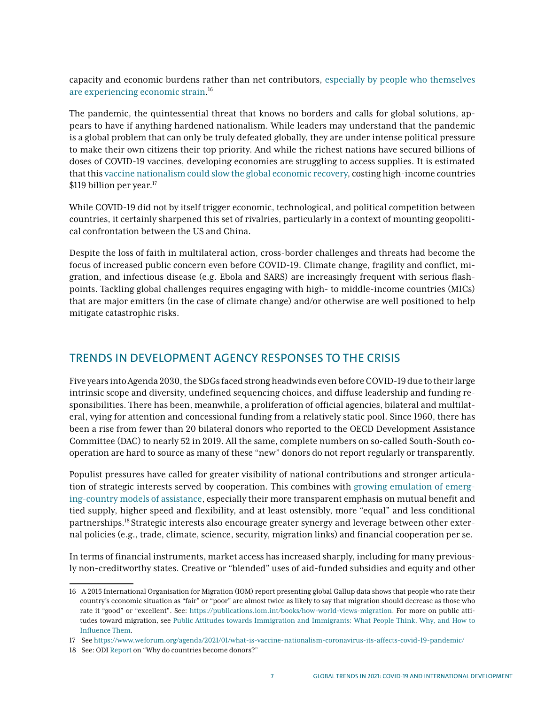capacity and economic burdens rather than net contributors, [especially by people who themselves](https://publications.iom.int/books/how-world-views-migration) [are experiencing economic strain.](https://publications.iom.int/books/how-world-views-migration) 16

The pandemic, the quintessential threat that knows no borders and calls for global solutions, appears to have if anything hardened nationalism. While leaders may understand that the pandemic is a global problem that can only be truly defeated globally, they are under intense political pressure to make their own citizens their top priority. And while the richest nations have secured billions of doses of COVID-19 vaccines, developing economies are struggling to access supplies. It is estimated that this [vaccine nationalism could slow the global economic recovery,](https://www.weforum.org/agenda/2021/01/what-is-vaccine-nationalism-coronavirus-its-affects-covid-19-pandemic/) costing high-income countries \$119 billion per year.<sup>17</sup>

While COVID-19 did not by itself trigger economic, technological, and political competition between countries, it certainly sharpened this set of rivalries, particularly in a context of mounting geopolitical confrontation between the US and China.

Despite the loss of faith in multilateral action, cross-border challenges and threats had become the focus of increased public concern even before COVID-19. Climate change, fragility and conflict, migration, and infectious disease (e.g. Ebola and SARS) are increasingly frequent with serious flashpoints. Tackling global challenges requires engaging with high- to middle-income countries (MICs) that are major emitters (in the case of climate change) and/or otherwise are well positioned to help mitigate catastrophic risks.

# TRENDS IN DEVELOPMENT AGENCY RESPONSES TO THE CRISIS

Five years into Agenda 2030, the SDGs faced strong headwinds even before COVID-19 due to their large intrinsic scope and diversity, undefined sequencing choices, and diffuse leadership and funding responsibilities. There has been, meanwhile, a proliferation of official agencies, bilateral and multilateral, vying for attention and concessional funding from a relatively static pool. Since 1960, there has been a rise from fewer than 20 bilateral donors who reported to the OECD Development Assistance Committee (DAC) to nearly 52 in 2019. All the same, complete numbers on so-called South-South cooperation are hard to source as many of these "new" donors do not report regularly or transparently.

Populist pressures have called for greater visibility of national contributions and stronger articulation of strategic interests served by cooperation. This combines with [growing emulation of emerg](https://www.odi.org/publications/10747-why-do-countries-become-donors-assessing-drivers-and-implications-donor-proliferation)[ing-country models of assistance](https://www.odi.org/publications/10747-why-do-countries-become-donors-assessing-drivers-and-implications-donor-proliferation), especially their more transparent emphasis on mutual benefit and tied supply, higher speed and flexibility, and at least ostensibly, more "equal" and less conditional partnerships.18 Strategic interests also encourage greater synergy and leverage between other external policies (e.g., trade, climate, science, security, migration links) and financial cooperation per se.

In terms of financial instruments, market access has increased sharply, including for many previously non-creditworthy states. Creative or "blended" uses of aid-funded subsidies and equity and other

<sup>16</sup> A 2015 International Organisation for Migration (IOM) report presenting global Gallup data shows that people who rate their country's economic situation as "fair" or "poor" are almost twice as likely to say that migration should decrease as those who rate it "good" or "excellent". See[:](https://publications.iom.int/books/how-world-views-migration) <https://publications.iom.int/books/how-world-views-migration>. For more on public attitudes toward migration, see [Public Attitudes towards Immigration and Immigrants: What People Think, Why, and How to](https://www.odi.org/publications/17333-public-attitudes-towards-immigration-and-immigrants-what-people-think-why-and-how-influence-them)  [Influence Them.](https://www.odi.org/publications/17333-public-attitudes-towards-immigration-and-immigrants-what-people-think-why-and-how-influence-them)

<sup>17</sup> See <https://www.weforum.org/agenda/2021/01/what-is-vaccine-nationalism-coronavirus-its-affects-covid-19-pandemic/>

<sup>18</sup> See: ODI [Report](https://www.odi.org/publications/10747-why-do-countries-become-donors-assessing-drivers-and-implications-donor-proliferation) on "Why do countries become donors?"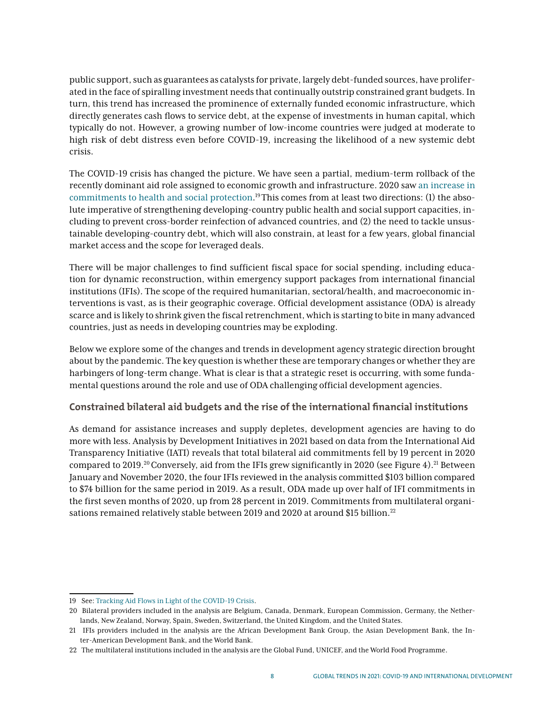public support, such as guarantees as catalysts for private, largely debt-funded sources, have proliferated in the face of spiralling investment needs that continually outstrip constrained grant budgets. In turn, this trend has increased the prominence of externally funded economic infrastructure, which directly generates cash flows to service debt, at the expense of investments in human capital, which typically do not. However, a growing number of low-income countries were judged at moderate to high risk of debt distress even before COVID-19, increasing the likelihood of a new systemic debt crisis.

The COVID-19 crisis has changed the picture. We have seen a partial, medium-term rollback of the recently dominant aid role assigned to economic growth and infrastructure. 2020 saw [an increase in](https://devinit.org/data/tracking-aid-flows-in-light-of-the-covid-19-crisis/) [commitments to health and social protection.](https://devinit.org/data/tracking-aid-flows-in-light-of-the-covid-19-crisis/) 19 This comes from at least two directions: (1) the absolute imperative of strengthening developing-country public health and social support capacities, including to prevent cross-border reinfection of advanced countries, and (2) the need to tackle unsustainable developing-country debt, which will also constrain, at least for a few years, global financial market access and the scope for leveraged deals.

There will be major challenges to find sufficient fiscal space for social spending, including education for dynamic reconstruction, within emergency support packages from international financial institutions (IFIs). The scope of the required humanitarian, sectoral/health, and macroeconomic interventions is vast, as is their geographic coverage. Official development assistance (ODA) is already scarce and is likely to shrink given the fiscal retrenchment, which is starting to bite in many advanced countries, just as needs in developing countries may be exploding.

Below we explore some of the changes and trends in development agency strategic direction brought about by the pandemic. The key question is whether these are temporary changes or whether they are harbingers of long-term change. What is clear is that a strategic reset is occurring, with some fundamental questions around the role and use of ODA challenging official development agencies.

# **Constrained bilateral aid budgets and the rise of the international financial institutions**

As demand for assistance increases and supply depletes, development agencies are having to do more with less. Analysis by Development Initiatives in 2021 based on data from the International Aid Transparency Initiative (IATI) reveals that total bilateral aid commitments fell by 19 percent in 2020 compared to 2019.<sup>20</sup> Conversely, aid from the IFIs grew significantly in 2020 (see Figure 4).<sup>21</sup> Between January and November 2020, the four IFIs reviewed in the analysis committed \$103 billion compared to \$74 billion for the same period in 2019. As a result, ODA made up over half of IFI commitments in the first seven months of 2020, up from 28 percent in 2019. Commitments from multilateral organisations remained relatively stable between 2019 and 2020 at around \$15 billion.<sup>22</sup>

<sup>19</sup> See[:](https://devinit.org/data/tracking-aid-flows-in-light-of-the-covid-19-crisis/) [Tracking Aid Flows in Light of the COVID-19 Crisis.](https://devinit.org/data/tracking-aid-flows-in-light-of-the-covid-19-crisis/)

<sup>20</sup> Bilateral providers included in the analysis are Belgium, Canada, Denmark, European Commission, Germany, the Netherlands, New Zealand, Norway, Spain, Sweden, Switzerland, the United Kingdom, and the United States.

<sup>21</sup> IFIs providers included in the analysis are the African Development Bank Group, the Asian Development Bank, the Inter-American Development Bank, and the World Bank.

<sup>22</sup> The multilateral institutions included in the analysis are the Global Fund, UNICEF, and the World Food Programme.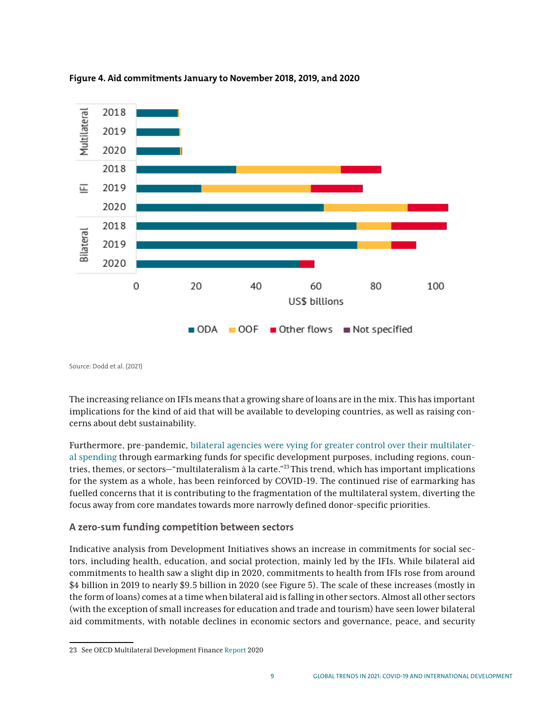

#### **Figure 4. Aid commitments January to November 2018, 2019, and 2020**

Source: Dodd et al. (2021)

The increasing reliance on IFIs means that a growing share of loans are in the mix. This has important implications for the kind of aid that will be available to developing countries, as well as raising concerns about debt sustainability.

Furthermore, pre-pandemic, [bilateral agencies were vying for greater control over their multilater](https://www.oecd.org/dac/multilateral-development-finance-2020-e61fdf00-en.htm)[al spending](https://www.oecd.org/dac/multilateral-development-finance-2020-e61fdf00-en.htm) through earmarking funds for specific development purposes, including regions, countries, themes, or sectors—"multilateralism à la carte."23 This trend, which has important implications for the system as a whole, has been reinforced by COVID-19. The continued rise of earmarking has fuelled concerns that it is contributing to the fragmentation of the multilateral system, diverting the focus away from core mandates towards more narrowly defined donor-specific priorities.

# **A zero-sum funding competition between sectors**

Indicative analysis from Development Initiatives shows an increase in commitments for social sectors, including health, education, and social protection, mainly led by the IFIs. While bilateral aid commitments to health saw a slight dip in 2020, commitments to health from IFIs rose from around \$4 billion in 2019 to nearly \$9.5 billion in 2020 (see Figure 5). The scale of these increases (mostly in the form of loans) comes at a time when bilateral aid is falling in other sectors. Almost all other sectors (with the exception of small increases for education and trade and tourism) have seen lower bilateral aid commitments, with notable declines in economic sectors and governance, peace, and security

<sup>23</sup> See OECD Multilateral Development Finance [Report](https://www.oecd.org/dac/multilateral-development-finance-2020-e61fdf00-en.htm) 2020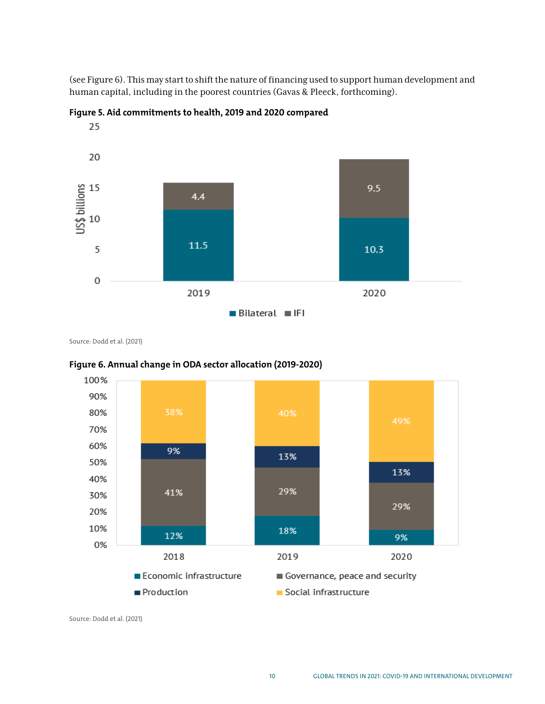(see Figure 6). This may start to shift the nature of financing used to support human development and human capital, including in the poorest countries (Gavas & Pleeck, forthcoming).





Source: Dodd et al. (2021)



#### **Figure 6. Annual change in ODA sector allocation (2019-2020)**

Source: Dodd et al. (2021)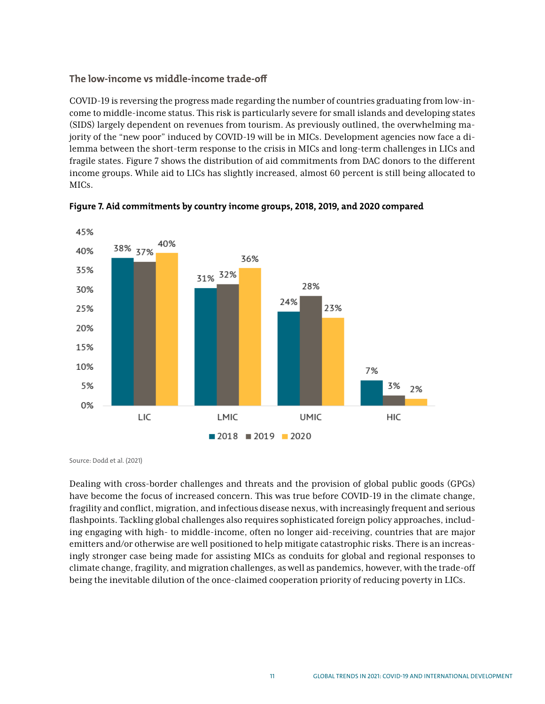# **The low-income vs middle-income trade-off**

COVID-19 is reversing the progress made regarding the number of countries graduating from low-income to middle-income status. This risk is particularly severe for small islands and developing states (SIDS) largely dependent on revenues from tourism. As previously outlined, the overwhelming majority of the "new poor" induced by COVID-19 will be in MICs. Development agencies now face a dilemma between the short-term response to the crisis in MICs and long-term challenges in LICs and fragile states. Figure 7 shows the distribution of aid commitments from DAC donors to the different income groups. While aid to LICs has slightly increased, almost 60 percent is still being allocated to MICs.





Source: Dodd et al. (2021)

Dealing with cross-border challenges and threats and the provision of global public goods (GPGs) have become the focus of increased concern. This was true before COVID-19 in the climate change, fragility and conflict, migration, and infectious disease nexus, with increasingly frequent and serious flashpoints. Tackling global challenges also requires sophisticated foreign policy approaches, including engaging with high- to middle-income, often no longer aid-receiving, countries that are major emitters and/or otherwise are well positioned to help mitigate catastrophic risks. There is an increasingly stronger case being made for assisting MICs as conduits for global and regional responses to climate change, fragility, and migration challenges, as well as pandemics, however, with the trade-off being the inevitable dilution of the once-claimed cooperation priority of reducing poverty in LICs.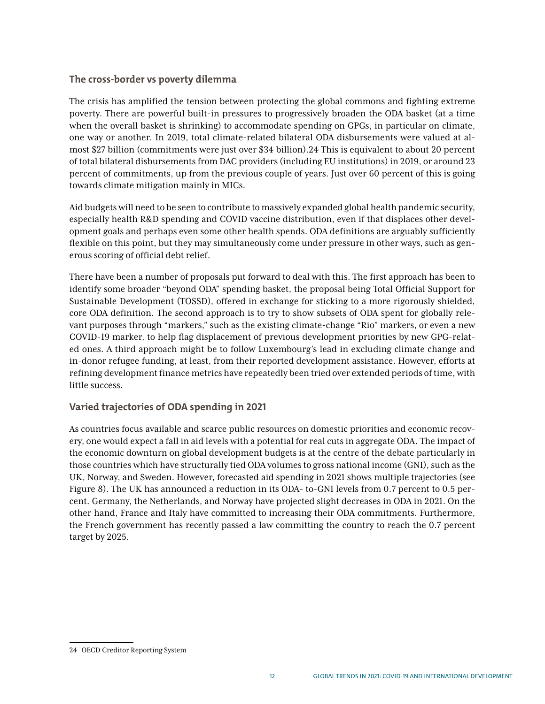# **The cross-border vs poverty dilemma**

The crisis has amplified the tension between protecting the global commons and fighting extreme poverty. There are powerful built-in pressures to progressively broaden the ODA basket (at a time when the overall basket is shrinking) to accommodate spending on GPGs, in particular on climate, one way or another. In 2019, total climate-related bilateral ODA disbursements were valued at almost \$27 billion (commitments were just over \$34 billion).24 This is equivalent to about 20 percent of total bilateral disbursements from DAC providers (including EU institutions) in 2019, or around 23 percent of commitments, up from the previous couple of years. Just over 60 percent of this is going towards climate mitigation mainly in MICs.

Aid budgets will need to be seen to contribute to massively expanded global health pandemic security, especially health R&D spending and COVID vaccine distribution, even if that displaces other development goals and perhaps even some other health spends. ODA definitions are arguably sufficiently flexible on this point, but they may simultaneously come under pressure in other ways, such as generous scoring of official debt relief.

There have been a number of proposals put forward to deal with this. The first approach has been to identify some broader "beyond ODA" spending basket, the proposal being Total Official Support for Sustainable Development (TOSSD), offered in exchange for sticking to a more rigorously shielded, core ODA definition. The second approach is to try to show subsets of ODA spent for globally relevant purposes through "markers," such as the existing climate-change "Rio" markers, or even a new COVID-19 marker, to help flag displacement of previous development priorities by new GPG-related ones. A third approach might be to follow Luxembourg's lead in excluding climate change and in-donor refugee funding, at least, from their reported development assistance. However, efforts at refining development finance metrics have repeatedly been tried over extended periods of time, with little success.

# **Varied trajectories of ODA spending in 2021**

As countries focus available and scarce public resources on domestic priorities and economic recovery, one would expect a fall in aid levels with a potential for real cuts in aggregate ODA. The impact of the economic downturn on global development budgets is at the centre of the debate particularly in those countries which have structurally tied ODA volumes to gross national income (GNI), such as the UK, Norway, and Sweden. However, forecasted aid spending in 2021 shows multiple trajectories (see Figure 8). The UK has announced a reduction in its ODA- to-GNI levels from 0.7 percent to 0.5 percent. Germany, the Netherlands, and Norway have projected slight decreases in ODA in 2021. On the other hand, France and Italy have committed to increasing their ODA commitments. Furthermore, the French government has recently passed a law committing the country to reach the 0.7 percent target by 2025.

<sup>24</sup> OECD Creditor Reporting System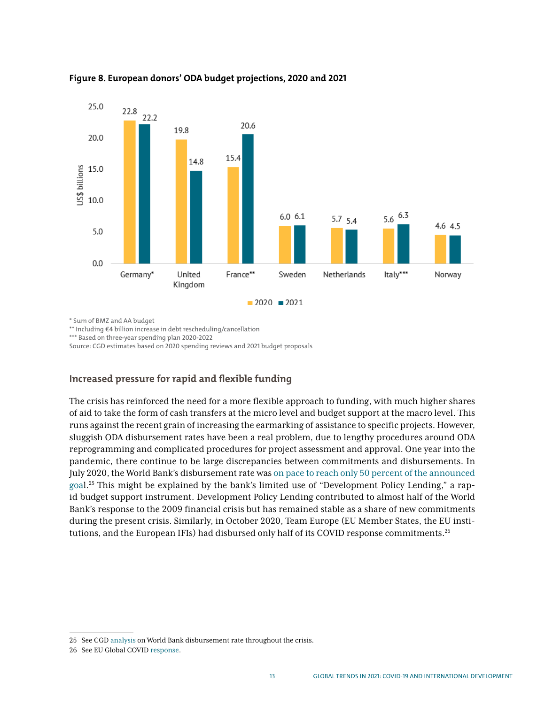

#### **Figure 8. European donors' ODA budget projections, 2020 and 2021**

\* Sum of BMZ and AA budget

\*\* Including €4 billion increase in debt rescheduling/cancellation

\*\*\* Based on three-year spending plan 2020-2022

Source: CGD estimates based on 2020 spending reviews and 2021 budget proposals

# **Increased pressure for rapid and flexible funding**

The crisis has reinforced the need for a more flexible approach to funding, with much higher shares of aid to take the form of cash transfers at the micro level and budget support at the macro level. This runs against the recent grain of increasing the earmarking of assistance to specific projects. However, sluggish ODA disbursement rates have been a real problem, due to lengthy procedures around ODA reprogramming and complicated procedures for project assessment and approval. One year into the pandemic, there continue to be large discrepancies between commitments and disbursements. In July 2020, the World Bank's disbursement rate was [on pace to reach only 50 percent of the announced](https://www.cgdev.org/publication/world-banks-covid-crisis-lending-big-enough-fast-enough-new-evidence-loan-disbursements) [goal](https://www.cgdev.org/publication/world-banks-covid-crisis-lending-big-enough-fast-enough-new-evidence-loan-disbursements).25 This might be explained by the bank's limited use of "Development Policy Lending," a rapid budget support instrument. Development Policy Lending contributed to almost half of the World Bank's response to the 2009 financial crisis but has remained stable as a share of new commitments during the present crisis. Similarly, in October 2020, Team Europe (EU Member States, the EU institutions, and the European IFIs) had disbursed only half of its COVID response commitments.<sup>26</sup>

<sup>25</sup> See CGD [analysis](https://www.cgdev.org/publication/world-banks-covid-crisis-lending-big-enough-fast-enough-new-evidence-loan-disbursements) on World Bank disbursement rate throughout the crisis.

<sup>26</sup> See EU Global COVID [response](https://ec.europa.eu/international-partnerships/topics/eu-global-response-covid-19_fr#:~:text=We%20are%20supporting%20efforts%20to,treatments%20and%20vaccines%20against%20coronavirus.).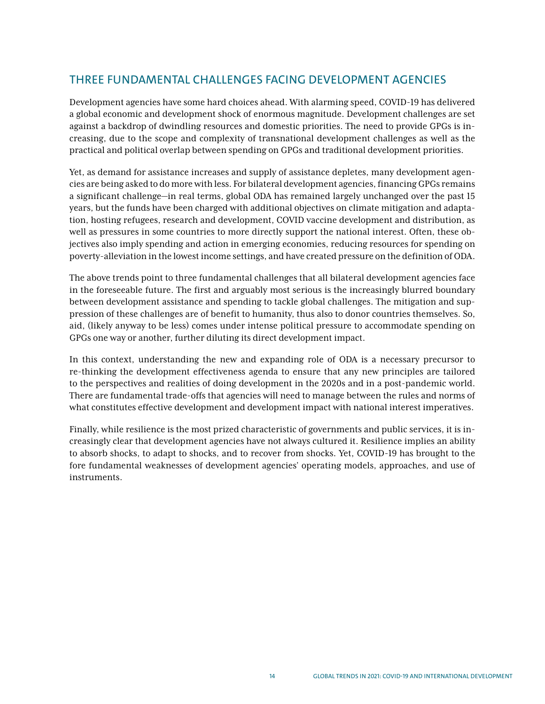# THREE FUNDAMENTAL CHALLENGES FACING DEVELOPMENT AGENCIES

Development agencies have some hard choices ahead. With alarming speed, COVID-19 has delivered a global economic and development shock of enormous magnitude. Development challenges are set against a backdrop of dwindling resources and domestic priorities. The need to provide GPGs is increasing, due to the scope and complexity of transnational development challenges as well as the practical and political overlap between spending on GPGs and traditional development priorities.

Yet, as demand for assistance increases and supply of assistance depletes, many development agencies are being asked to do more with less. For bilateral development agencies, financing GPGs remains a significant challenge—in real terms, global ODA has remained largely unchanged over the past 15 years, but the funds have been charged with additional objectives on climate mitigation and adaptation, hosting refugees, research and development, COVID vaccine development and distribution, as well as pressures in some countries to more directly support the national interest. Often, these objectives also imply spending and action in emerging economies, reducing resources for spending on poverty-alleviation in the lowest income settings, and have created pressure on the definition of ODA.

The above trends point to three fundamental challenges that all bilateral development agencies face in the foreseeable future. The first and arguably most serious is the increasingly blurred boundary between development assistance and spending to tackle global challenges. The mitigation and suppression of these challenges are of benefit to humanity, thus also to donor countries themselves. So, aid, (likely anyway to be less) comes under intense political pressure to accommodate spending on GPGs one way or another, further diluting its direct development impact.

In this context, understanding the new and expanding role of ODA is a necessary precursor to re-thinking the development effectiveness agenda to ensure that any new principles are tailored to the perspectives and realities of doing development in the 2020s and in a post-pandemic world. There are fundamental trade-offs that agencies will need to manage between the rules and norms of what constitutes effective development and development impact with national interest imperatives.

Finally, while resilience is the most prized characteristic of governments and public services, it is increasingly clear that development agencies have not always cultured it. Resilience implies an ability to absorb shocks, to adapt to shocks, and to recover from shocks. Yet, COVID-19 has brought to the fore fundamental weaknesses of development agencies' operating models, approaches, and use of instruments.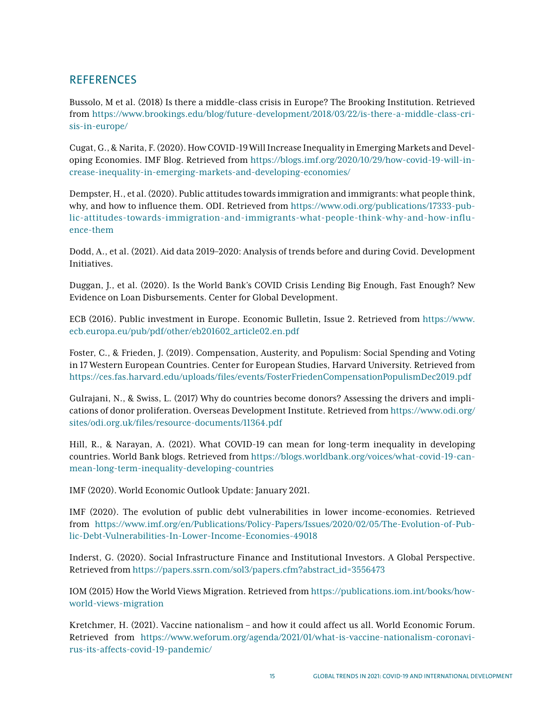# **REFERENCES**

Bussolo, M et al. (2018) Is there a middle-class crisis in Europe? The Brooking Institution. Retrieved from [https://www.brookings.edu/blog/future-development/2018/03/22/is-there-a-middle-class-cri](https://www.brookings.edu/blog/future-development/2018/03/22/is-there-a-middle-class-crisis-in-europe/)[sis-in-europe/](https://www.brookings.edu/blog/future-development/2018/03/22/is-there-a-middle-class-crisis-in-europe/)

Cugat, G., & Narita, F. (2020). How COVID-19 Will Increase Inequality in Emerging Markets and Developing Economies. IMF Blog. Retrieved from [https://blogs.imf.org/2020/10/29/how-covid-19-will-in](https://blogs.imf.org/2020/10/29/how-covid-19-will-increase-inequality-in-emerging-markets-and-developing-economies/)[crease-inequality-in-emerging-markets-and-developing-economies/](https://blogs.imf.org/2020/10/29/how-covid-19-will-increase-inequality-in-emerging-markets-and-developing-economies/)

Dempster, H., et al. (2020). Public attitudes towards immigration and immigrants: what people think, why, and how to influence them. ODI. Retrieved from [https://www.odi.org/publications/17333-pub](https://www.odi.org/publications/17333-public-attitudes-towards-immigration-and-immigrants-what-people-think-why-and-how-influence-them)[lic-attitudes-towards-immigration-and-immigrants-what-people-think-why-and-how-influ](https://www.odi.org/publications/17333-public-attitudes-towards-immigration-and-immigrants-what-people-think-why-and-how-influence-them)[ence-them](https://www.odi.org/publications/17333-public-attitudes-towards-immigration-and-immigrants-what-people-think-why-and-how-influence-them)

Dodd, A., et al. (2021). Aid data 2019–2020: Analysis of trends before and during Covid. Development Initiatives.

Duggan, J., et al. (2020). Is the World Bank's COVID Crisis Lending Big Enough, Fast Enough? New Evidence on Loan Disbursements. Center for Global Development.

ECB (2016). Public investment in Europe. Economic Bulletin, Issue 2. Retrieved from [https://www.](https://www.ecb.europa.eu/pub/pdf/other/eb201602_article02.en.pdf) [ecb.europa.eu/pub/pdf/other/eb201602\\_article02.en.pdf](https://www.ecb.europa.eu/pub/pdf/other/eb201602_article02.en.pdf)

Foster, C., & Frieden, J. (2019). Compensation, Austerity, and Populism: Social Spending and Voting in 17 Western European Countries. Center for European Studies, Harvard University. Retrieved from <https://ces.fas.harvard.edu/uploads/files/events/FosterFriedenCompensationPopulismDec2019.pdf>

Gulrajani, N., & Swiss, L. (2017) Why do countries become donors? Assessing the drivers and implications of donor proliferation. Overseas Development Institute. Retrieved from [https://www.odi.org/](https://www.odi.org/sites/odi.org.uk/files/resource-documents/11364.pdf) [sites/odi.org.uk/files/resource-documents/11364.pdf](https://www.odi.org/sites/odi.org.uk/files/resource-documents/11364.pdf)

Hill, R., & Narayan, A. (2021). What COVID-19 can mean for long-term inequality in developing countries. World Bank blogs. Retrieved from [https://blogs.worldbank.org/voices/what-covid-19-can](https://blogs.worldbank.org/voices/what-covid-19-can-mean-long-term-inequality-developing-countries)[mean-long-term-inequality-developing-countries](https://blogs.worldbank.org/voices/what-covid-19-can-mean-long-term-inequality-developing-countries)

IMF (2020). World Economic Outlook Update: January 2021.

IMF (2020). The evolution of public debt vulnerabilities in lower income-economies. Retrieved from [https://www.imf.org/en/Publications/Policy-Papers/Issues/2020/02/05/The-Evolution-of-Pub](https://www.imf.org/en/Publications/Policy-Papers/Issues/2020/02/05/The-Evolution-of-Public-Debt-Vulnerabilities-In-Lower-Income-Economies-49018)[lic-Debt-Vulnerabilities-In-Lower-Income-Economies-49018](https://www.imf.org/en/Publications/Policy-Papers/Issues/2020/02/05/The-Evolution-of-Public-Debt-Vulnerabilities-In-Lower-Income-Economies-49018)

Inderst, G. (2020). Social Infrastructure Finance and Institutional Investors. A Global Perspective. Retrieved from [https://papers.ssrn.com/sol3/papers.cfm?abstract\\_id=3556473](https://papers.ssrn.com/sol3/papers.cfm?abstract_id=3556473)

IOM (2015) How the World Views Migration. Retrieved from [https://publications.iom.int/books/how](https://publications.iom.int/books/how-world-views-migration)[world-views-migration](https://publications.iom.int/books/how-world-views-migration)

Kretchmer, H. (2021). Vaccine nationalism – and how it could affect us all. World Economic Forum. Retrieved from [https://www.weforum.org/agenda/2021/01/what-is-vaccine-nationalism-coronavi](https://www.weforum.org/agenda/2021/01/what-is-vaccine-nationalism-coronavirus-its-affects-covid-19-pandemic/)[rus-its-affects-covid-19-pandemic/](https://www.weforum.org/agenda/2021/01/what-is-vaccine-nationalism-coronavirus-its-affects-covid-19-pandemic/)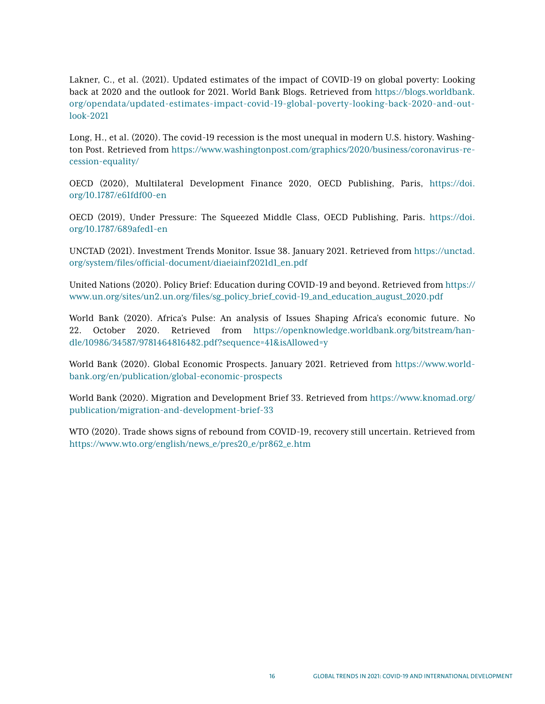Lakner, C., et al. (2021). Updated estimates of the impact of COVID-19 on global poverty: Looking back at 2020 and the outlook for 2021. World Bank Blogs. Retrieved from [https://blogs.worldbank.](https://blogs.worldbank.org/opendata/updated-estimates-impact-covid-19-global-poverty-looking-back-2020-and-outlook-2021) [org/opendata/updated-estimates-impact-covid-19-global-poverty-looking-back-2020-and-out](https://blogs.worldbank.org/opendata/updated-estimates-impact-covid-19-global-poverty-looking-back-2020-and-outlook-2021)[look-2021](https://blogs.worldbank.org/opendata/updated-estimates-impact-covid-19-global-poverty-looking-back-2020-and-outlook-2021)

Long, H., et al. (2020). The covid-19 recession is the most unequal in modern U.S. history. Washington Post. Retrieved from [https://www.washingtonpost.com/graphics/2020/business/coronavirus-re](https://www.washingtonpost.com/graphics/2020/business/coronavirus-recession-equality/)[cession-equality/](https://www.washingtonpost.com/graphics/2020/business/coronavirus-recession-equality/)

OECD (2020), Multilateral Development Finance 2020, OECD Publishing, Paris, [https://doi.](https://doi.org/10.1787/e61fdf00-en) [org/10.1787/e61fdf00-en](https://doi.org/10.1787/e61fdf00-en)

OECD (2019), Under Pressure: The Squeezed Middle Class, OECD Publishing, Paris. [https://doi.](https://doi.org/10.1787/689afed1-en) [org/10.1787/689afed1-en](https://doi.org/10.1787/689afed1-en)

UNCTAD (2021). Investment Trends Monitor. Issue 38. January 2021. Retrieved from [https://unctad.](https://unctad.org/system/files/official-document/diaeiainf2021d1_en.pdf) [org/system/files/official-document/diaeiainf2021d1\\_en.pdf](https://unctad.org/system/files/official-document/diaeiainf2021d1_en.pdf)

United Nations (2020). Policy Brief: Education during COVID-19 and beyond. Retrieved from [https://](https://www.un.org/sites/un2.un.org/files/sg_policy_brief_covid-19_and_education_august_2020.pdf) [www.un.org/sites/un2.un.org/files/sg\\_policy\\_brief\\_covid-19\\_and\\_education\\_august\\_2020.pdf](https://www.un.org/sites/un2.un.org/files/sg_policy_brief_covid-19_and_education_august_2020.pdf)

World Bank (2020). Africa's Pulse: An analysis of Issues Shaping Africa's economic future. No 22. October 2020. Retrieved from [https://openknowledge.worldbank.org/bitstream/han](https://openknowledge.worldbank.org/bitstream/handle/10986/34587/9781464816482.pdf?sequence=41&isAllowed=y)[dle/10986/34587/9781464816482.pdf?sequence=41&isAllowed=y](https://openknowledge.worldbank.org/bitstream/handle/10986/34587/9781464816482.pdf?sequence=41&isAllowed=y)

World Bank (2020). Global Economic Prospects. January 2021. Retrieved from [https://www.world](https://www.worldbank.org/en/publication/global-economic-prospects)[bank.org/en/publication/global-economic-prospects](https://www.worldbank.org/en/publication/global-economic-prospects)

World Bank (2020). Migration and Development Brief 33. Retrieved from [https://www.knomad.org/](https://www.knomad.org/publication/migration-and-development-brief-33) [publication/migration-and-development-brief-33](https://www.knomad.org/publication/migration-and-development-brief-33)

WTO (2020). Trade shows signs of rebound from COVID-19, recovery still uncertain. Retrieved from [https://www.wto.org/english/news\\_e/pres20\\_e/pr862\\_e.htm](https://www.wto.org/english/news_e/pres20_e/pr862_e.htm)